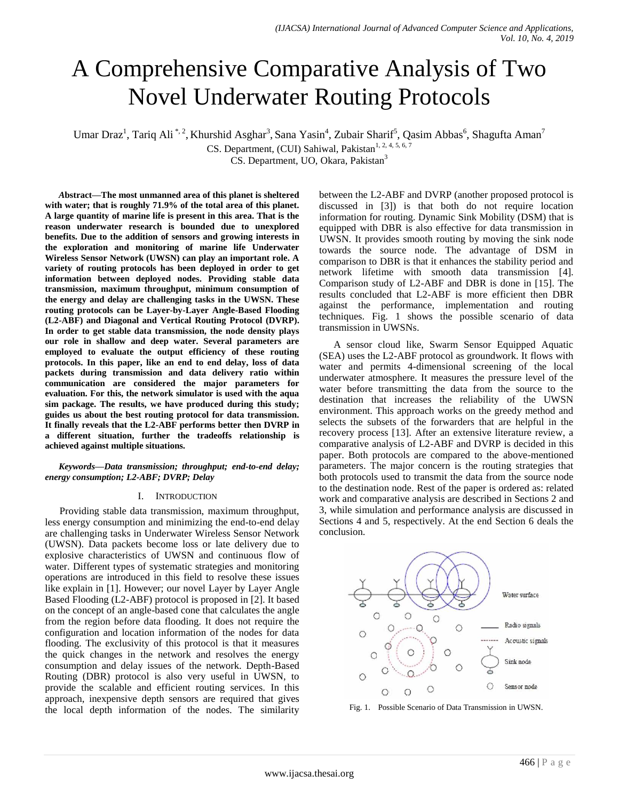# A Comprehensive Comparative Analysis of Two Novel Underwater Routing Protocols

Umar Draz<sup>1</sup>, Tariq Ali<sup>\*, 2</sup>, Khurshid Asghar<sup>3</sup>, Sana Yasin<sup>4</sup>, Zubair Sharif<sup>5</sup>, Qasim Abbas<sup>6</sup>, Shagufta Aman<sup>7</sup>

CS. Department, (CUI) Sahiwal, Pakistan<sup>1, 2, 4, 5, 6, 7</sup>

CS. Department, UO, Okara, Pakistan<sup>3</sup>

*A***bstract—The most unmanned area of this planet is sheltered with water; that is roughly 71.9% of the total area of this planet. A large quantity of marine life is present in this area. That is the reason underwater research is bounded due to unexplored benefits. Due to the addition of sensors and growing interests in the exploration and monitoring of marine life Underwater Wireless Sensor Network (UWSN) can play an important role. A variety of routing protocols has been deployed in order to get information between deployed nodes. Providing stable data transmission, maximum throughput, minimum consumption of the energy and delay are challenging tasks in the UWSN. These routing protocols can be Layer-by-Layer Angle-Based Flooding (L2-ABF) and Diagonal and Vertical Routing Protocol (DVRP). In order to get stable data transmission, the node density plays our role in shallow and deep water. Several parameters are employed to evaluate the output efficiency of these routing protocols. In this paper, like an end to end delay, loss of data packets during transmission and data delivery ratio within communication are considered the major parameters for evaluation. For this, the network simulator is used with the aqua sim package. The results, we have produced during this study; guides us about the best routing protocol for data transmission. It finally reveals that the L2-ABF performs better then DVRP in a different situation, further the tradeoffs relationship is achieved against multiple situations.**

*Keywords—Data transmission; throughput; end-to-end delay; energy consumption; L2-ABF; DVRP; Delay*

#### I. INTRODUCTION

Providing stable data transmission, maximum throughput, less energy consumption and minimizing the end-to-end delay are challenging tasks in Underwater Wireless Sensor Network (UWSN). Data packets become loss or late delivery due to explosive characteristics of UWSN and continuous flow of water. Different types of systematic strategies and monitoring operations are introduced in this field to resolve these issues like explain in [1]. However; our novel Layer by Layer Angle Based Flooding (L2-ABF) protocol is proposed in [2]. It based on the concept of an angle-based cone that calculates the angle from the region before data flooding. It does not require the configuration and location information of the nodes for data flooding. The exclusivity of this protocol is that it measures the quick changes in the network and resolves the energy consumption and delay issues of the network. Depth-Based Routing (DBR) protocol is also very useful in UWSN, to provide the scalable and efficient routing services. In this approach, inexpensive depth sensors are required that gives the local depth information of the nodes. The similarity between the L2-ABF and DVRP (another proposed protocol is discussed in [3]) is that both do not require location information for routing. Dynamic Sink Mobility (DSM) that is equipped with DBR is also effective for data transmission in UWSN. It provides smooth routing by moving the sink node towards the source node. The advantage of DSM in comparison to DBR is that it enhances the stability period and network lifetime with smooth data transmission [4]. Comparison study of L2-ABF and DBR is done in [15]. The results concluded that L2-ABF is more efficient then DBR against the performance, implementation and routing techniques. Fig. 1 shows the possible scenario of data transmission in UWSNs.

A sensor cloud like, Swarm Sensor Equipped Aquatic (SEA) uses the L2-ABF protocol as groundwork. It flows with water and permits 4-dimensional screening of the local underwater atmosphere. It measures the pressure level of the water before transmitting the data from the source to the destination that increases the reliability of the UWSN environment. This approach works on the greedy method and selects the subsets of the forwarders that are helpful in the recovery process [13]. After an extensive literature review, a comparative analysis of L2-ABF and DVRP is decided in this paper. Both protocols are compared to the above-mentioned parameters. The major concern is the routing strategies that both protocols used to transmit the data from the source node to the destination node. Rest of the paper is ordered as: related work and comparative analysis are described in Sections 2 and 3, while simulation and performance analysis are discussed in Sections 4 and 5, respectively. At the end Section 6 deals the conclusion.



Fig. 1. Possible Scenario of Data Transmission in UWSN.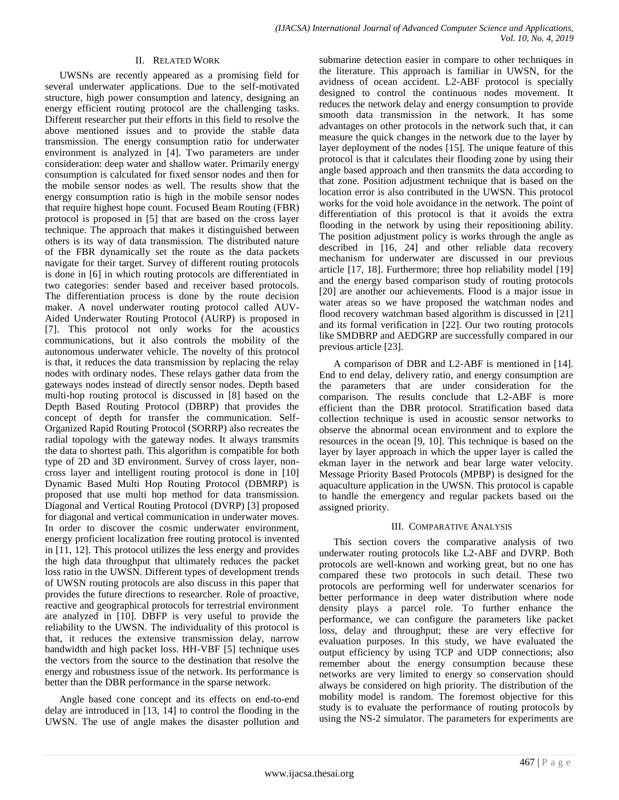#### II. RELATED WORK

UWSNs are recently appeared as a promising field for several underwater applications. Due to the self-motivated structure, high power consumption and latency, designing an energy efficient routing protocol are the challenging tasks. Different researcher put their efforts in this field to resolve the above mentioned issues and to provide the stable data transmission. The energy consumption ratio for underwater environment is analyzed in [4]. Two parameters are under consideration: deep water and shallow water. Primarily energy consumption is calculated for fixed sensor nodes and then for the mobile sensor nodes as well. The results show that the energy consumption ratio is high in the mobile sensor nodes that require highest hope count. Focused Beam Routing (FBR) protocol is proposed in [5] that are based on the cross layer technique. The approach that makes it distinguished between others is its way of data transmission. The distributed nature of the FBR dynamically set the route as the data packets navigate for their target. Survey of different routing protocols is done in [6] in which routing protocols are differentiated in two categories: sender based and receiver based protocols. The differentiation process is done by the route decision maker. A novel underwater routing protocol called AUV-Aided Underwater Routing Protocol (AURP) is proposed in [7]. This protocol not only works for the acoustics communications, but it also controls the mobility of the autonomous underwater vehicle. The novelty of this protocol is that, it reduces the data transmission by replacing the relay nodes with ordinary nodes. These relays gather data from the gateways nodes instead of directly sensor nodes. Depth based multi-hop routing protocol is discussed in [8] based on the Depth Based Routing Protocol (DBRP) that provides the concept of depth for transfer the communication. Self-Organized Rapid Routing Protocol (SORRP) also recreates the radial topology with the gateway nodes. It always transmits the data to shortest path. This algorithm is compatible for both type of 2D and 3D environment. Survey of cross layer, noncross layer and intelligent routing protocol is done in [10] Dynamic Based Multi Hop Routing Protocol (DBMRP) is proposed that use multi hop method for data transmission. Diagonal and Vertical Routing Protocol (DVRP) [3] proposed for diagonal and vertical communication in underwater moves. In order to discover the cosmic underwater environment, energy proficient localization free routing protocol is invented in [11, 12]. This protocol utilizes the less energy and provides the high data throughput that ultimately reduces the packet loss ratio in the UWSN. Different types of development trends of UWSN routing protocols are also discuss in this paper that provides the future directions to researcher. Role of proactive, reactive and geographical protocols for terrestrial environment are analyzed in [10]. DBFP is very useful to provide the reliability to the UWSN. The individuality of this protocol is that, it reduces the extensive transmission delay, narrow bandwidth and high packet loss. HH-VBF [5] technique uses the vectors from the source to the destination that resolve the energy and robustness issue of the network. Its performance is better than the DBR performance in the sparse network.

Angle based cone concept and its effects on end-to-end delay are introduced in [13, 14] to control the flooding in the UWSN. The use of angle makes the disaster pollution and submarine detection easier in compare to other techniques in the literature. This approach is familiar in UWSN, for the avidness of ocean accident. L2-ABF protocol is specially designed to control the continuous nodes movement. It reduces the network delay and energy consumption to provide smooth data transmission in the network. It has some advantages on other protocols in the network such that, it can measure the quick changes in the network due to the layer by layer deployment of the nodes [15]. The unique feature of this protocol is that it calculates their flooding zone by using their angle based approach and then transmits the data according to that zone. Position adjustment technique that is based on the location error is also contributed in the UWSN. This protocol works for the void hole avoidance in the network. The point of differentiation of this protocol is that it avoids the extra flooding in the network by using their repositioning ability. The position adjustment policy is works through the angle as described in [16, 24] and other reliable data recovery mechanism for underwater are discussed in our previous article [17, 18]. Furthermore; three hop reliability model [19] and the energy based comparison study of routing protocols [20] are another our achievements. Flood is a major issue in water areas so we have proposed the watchman nodes and flood recovery watchman based algorithm is discussed in [21] and its formal verification in [22]. Our two routing protocols like SMDBRP and AEDGRP are successfully compared in our previous article [23].

A comparison of DBR and L2-ABF is mentioned in [14]. End to end delay, delivery ratio, and energy consumption are the parameters that are under consideration for the comparison. The results conclude that L2-ABF is more efficient than the DBR protocol. Stratification based data collection technique is used in acoustic sensor networks to observe the abnormal ocean environment and to explore the resources in the ocean [9, 10]. This technique is based on the layer by layer approach in which the upper layer is called the ekman layer in the network and bear large water velocity. Message Priority Based Protocols (MPBP) is designed for the aquaculture application in the UWSN. This protocol is capable to handle the emergency and regular packets based on the assigned priority.

#### III. COMPARATIVE ANALYSIS

This section covers the comparative analysis of two underwater routing protocols like L2-ABF and DVRP. Both protocols are well-known and working great, but no one has compared these two protocols in such detail. These two protocols are performing well for underwater scenarios for better performance in deep water distribution where node density plays a parcel role. To further enhance the performance, we can configure the parameters like packet loss, delay and throughput; these are very effective for evaluation purposes. In this study, we have evaluated the output efficiency by using TCP and UDP connections; also remember about the energy consumption because these networks are very limited to energy so conservation should always be considered on high priority. The distribution of the mobility model is random. The foremost objective for this study is to evaluate the performance of routing protocols by using the NS-2 simulator. The parameters for experiments are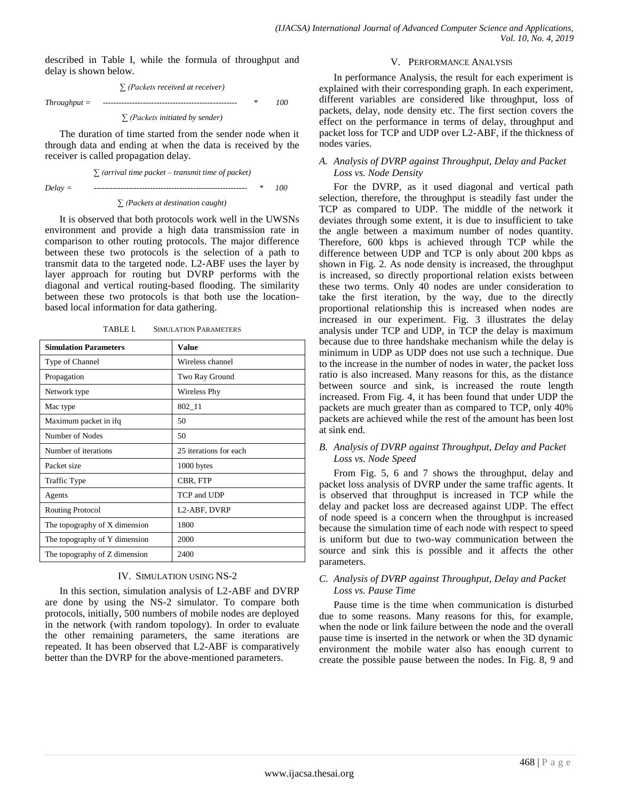described in Table I, while the formula of throughput and delay is shown below.

$$
\sum_{\text{Throughput}} (Packets\ received\ at\ receiver)
$$
\n
$$
Throughput =
$$

*∑ (Packets initiated by sender)*

The duration of time started from the sender node when it through data and ending at when the data is received by the receiver is called propagation delay.

$$
\sum (arrival\ time\ packet - transmit\ time\ of\ packet)
$$
  

$$
Delay =
$$

#### *∑ (Packets at destination caught)*

It is observed that both protocols work well in the UWSNs environment and provide a high data transmission rate in comparison to other routing protocols. The major difference between these two protocols is the selection of a path to transmit data to the targeted node. L2-ABF uses the layer by layer approach for routing but DVRP performs with the diagonal and vertical routing-based flooding. The similarity between these two protocols is that both use the locationbased local information for data gathering.

| <b>Simulation Parameters</b>  | Value                  |
|-------------------------------|------------------------|
| Type of Channel               | Wireless channel       |
|                               |                        |
| Propagation                   | Two Ray Ground         |
| Network type                  | Wireless Phy           |
| Mac type                      | $802 - 11$             |
| Maximum packet in ifq         | 50                     |
| Number of Nodes               | 50                     |
| Number of iterations          | 25 iterations for each |
| Packet size                   | 1000 bytes             |
| Traffic Type                  | CBR, FTP               |
| Agents                        | TCP and UDP            |
| Routing Protocol              | L2-ABF, DVRP           |
| The topography of X dimension | 1800                   |
| The topography of Y dimension | 2000                   |
| The topography of Z dimension | 2400                   |

TABLE I. SIMULATION PARAMETERS

#### IV. SIMULATION USING NS-2

In this section, simulation analysis of L2-ABF and DVRP are done by using the NS-2 simulator. To compare both protocols, initially, 500 numbers of mobile nodes are deployed in the network (with random topology). In order to evaluate the other remaining parameters, the same iterations are repeated. It has been observed that L2-ABF is comparatively better than the DVRP for the above-mentioned parameters.

### V. PERFORMANCE ANALYSIS

In performance Analysis, the result for each experiment is explained with their corresponding graph. In each experiment, different variables are considered like throughput, loss of packets, delay, node density etc. The first section covers the effect on the performance in terms of delay, throughput and packet loss for TCP and UDP over L2-ABF, if the thickness of nodes varies.

### *A. Analysis of DVRP against Throughput, Delay and Packet Loss vs. Node Density*

For the DVRP, as it used diagonal and vertical path selection, therefore, the throughput is steadily fast under the TCP as compared to UDP. The middle of the network it deviates through some extent, it is due to insufficient to take the angle between a maximum number of nodes quantity. Therefore, 600 kbps is achieved through TCP while the difference between UDP and TCP is only about 200 kbps as shown in Fig. 2. As node density is increased, the throughput is increased, so directly proportional relation exists between these two terms. Only 40 nodes are under consideration to take the first iteration, by the way, due to the directly proportional relationship this is increased when nodes are increased in our experiment. Fig. 3 illustrates the delay analysis under TCP and UDP, in TCP the delay is maximum because due to three handshake mechanism while the delay is minimum in UDP as UDP does not use such a technique. Due to the increase in the number of nodes in water, the packet loss ratio is also increased. Many reasons for this, as the distance between source and sink, is increased the route length increased. From Fig. 4, it has been found that under UDP the packets are much greater than as compared to TCP, only 40% packets are achieved while the rest of the amount has been lost at sink end.

# *B. Analysis of DVRP against Throughput, Delay and Packet Loss vs. Node Speed*

From Fig. 5, 6 and 7 shows the throughput, delay and packet loss analysis of DVRP under the same traffic agents. It is observed that throughput is increased in TCP while the delay and packet loss are decreased against UDP. The effect of node speed is a concern when the throughput is increased because the simulation time of each node with respect to speed is uniform but due to two-way communication between the source and sink this is possible and it affects the other parameters.

# *C. Analysis of DVRP against Throughput, Delay and Packet Loss vs. Pause Time*

Pause time is the time when communication is disturbed due to some reasons. Many reasons for this, for example, when the node or link failure between the node and the overall pause time is inserted in the network or when the 3D dynamic environment the mobile water also has enough current to create the possible pause between the nodes. In Fig. 8, 9 and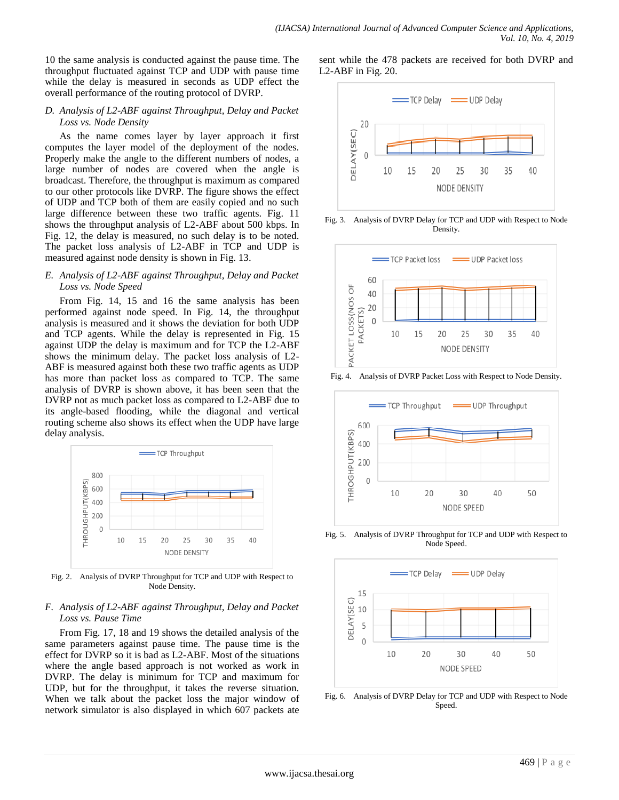10 the same analysis is conducted against the pause time. The throughput fluctuated against TCP and UDP with pause time while the delay is measured in seconds as UDP effect the overall performance of the routing protocol of DVRP.

### *D. Analysis of L2-ABF against Throughput, Delay and Packet Loss vs. Node Density*

As the name comes layer by layer approach it first computes the layer model of the deployment of the nodes. Properly make the angle to the different numbers of nodes, a large number of nodes are covered when the angle is broadcast. Therefore, the throughput is maximum as compared to our other protocols like DVRP. The figure shows the effect of UDP and TCP both of them are easily copied and no such large difference between these two traffic agents. Fig. 11 shows the throughput analysis of L2-ABF about 500 kbps. In Fig. 12, the delay is measured, no such delay is to be noted. The packet loss analysis of L2-ABF in TCP and UDP is measured against node density is shown in Fig. 13.

# *E. Analysis of L2-ABF against Throughput, Delay and Packet Loss vs. Node Speed*

From Fig. 14, 15 and 16 the same analysis has been performed against node speed. In Fig. 14, the throughput analysis is measured and it shows the deviation for both UDP and TCP agents. While the delay is represented in Fig. 15 against UDP the delay is maximum and for TCP the L2-ABF shows the minimum delay. The packet loss analysis of L2- ABF is measured against both these two traffic agents as UDP has more than packet loss as compared to TCP. The same analysis of DVRP is shown above, it has been seen that the DVRP not as much packet loss as compared to L2-ABF due to its angle-based flooding, while the diagonal and vertical routing scheme also shows its effect when the UDP have large delay analysis.



Fig. 2. Analysis of DVRP Throughput for TCP and UDP with Respect to Node Density.

# *F. Analysis of L2-ABF against Throughput, Delay and Packet Loss vs. Pause Time*

From Fig. 17, 18 and 19 shows the detailed analysis of the same parameters against pause time. The pause time is the effect for DVRP so it is bad as L2-ABF. Most of the situations where the angle based approach is not worked as work in DVRP. The delay is minimum for TCP and maximum for UDP, but for the throughput, it takes the reverse situation. When we talk about the packet loss the major window of network simulator is also displayed in which 607 packets ate sent while the 478 packets are received for both DVRP and L2-ABF in Fig. 20.



Fig. 3. Analysis of DVRP Delay for TCP and UDP with Respect to Node Density.



Fig. 4. Analysis of DVRP Packet Loss with Respect to Node Density.



Fig. 5. Analysis of DVRP Throughput for TCP and UDP with Respect to Node Speed.



Fig. 6. Analysis of DVRP Delay for TCP and UDP with Respect to Node Speed.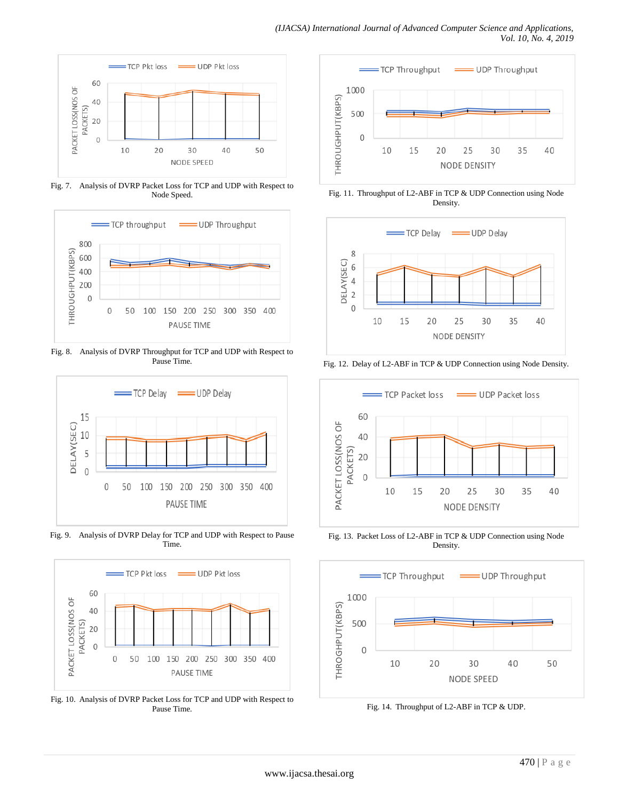

Fig. 7. Analysis of DVRP Packet Loss for TCP and UDP with Respect to Node Speed.



Fig. 8. Analysis of DVRP Throughput for TCP and UDP with Respect to Pause Time.



Fig. 9. Analysis of DVRP Delay for TCP and UDP with Respect to Pause Time.



Fig. 10. Analysis of DVRP Packet Loss for TCP and UDP with Respect to Pause Time.



Fig. 11. Throughput of L2-ABF in TCP & UDP Connection using Node Density.



Fig. 12. Delay of L2-ABF in TCP & UDP Connection using Node Density.



Fig. 13. Packet Loss of L2-ABF in TCP & UDP Connection using Node Density.



Fig. 14. Throughput of L2-ABF in TCP & UDP.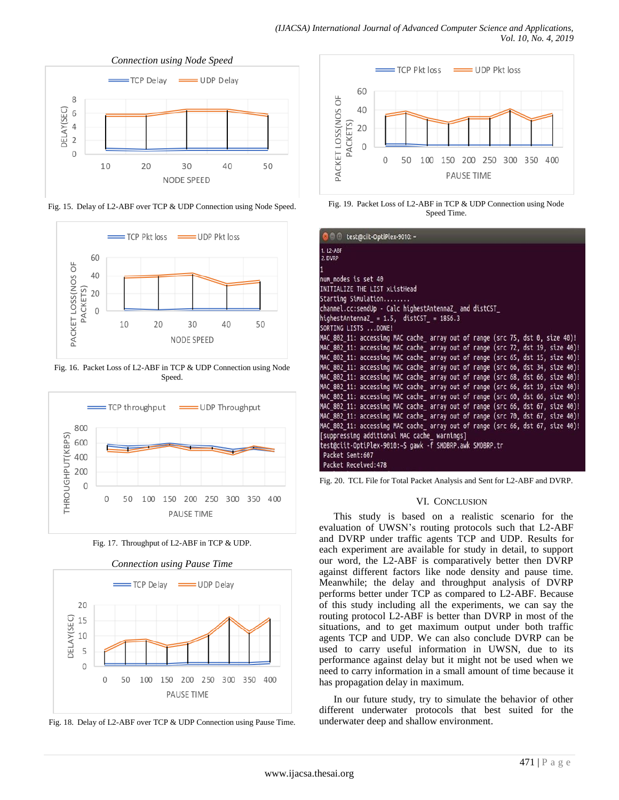

Fig. 15. Delay of L2-ABF over TCP & UDP Connection using Node Speed.



Fig. 16. Packet Loss of L2-ABF in TCP & UDP Connection using Node Speed.



Fig. 17. Throughput of L2-ABF in TCP & UDP.



Fig. 18. Delay of L2-ABF over TCP & UDP Connection using Pause Time.



Fig. 19. Packet Loss of L2-ABF in TCP & UDP Connection using Node Speed Time.

| <b>O</b> test@ciit-OptiPlex-9010:~                                                                                                                              |
|-----------------------------------------------------------------------------------------------------------------------------------------------------------------|
| 1. L2-ABF<br>2. DVRP                                                                                                                                            |
|                                                                                                                                                                 |
| num nodes is set 40                                                                                                                                             |
| INITIALIZE THE LIST xListHead                                                                                                                                   |
| Starting Simulation                                                                                                                                             |
| channel.cc:sendUp - Calc highestAntennaZ and distCST                                                                                                            |
| highestAntennaZ = $1.5$ , distCST = $1856.3$                                                                                                                    |
| SORTING LISTS  DONE!                                                                                                                                            |
| MAC 802 11: accessing MAC cache array out of range (src 75, dst 0, size 40)!                                                                                    |
| MAC 802 11: accessing MAC cache_ array out of range (src 72, dst 19, size 40)!                                                                                  |
| MAC_802_11: accessing MAC cache_ array out of range (src 65, dst 15, size 40)!                                                                                  |
| MAC 802 11: accessing MAC cache array out of range (src 66, dst 34, size 40)!<br>MAC_802_11: accessing MAC cache_ array out of range (src 68, dst 66, size 40)! |
| MAC_802_11: accessing MAC cache_ array out of range (src 66, dst 19, size 40)!                                                                                  |
| MAC 802 11: accessing MAC cache array out of range (src 60, dst 66, size 40)!                                                                                   |
| MAC 802 11: accessing MAC cache array out of range (src 66, dst 67, size 40)!                                                                                   |
| MAC 802 11: accessing MAC cache array out of range (src 70, dst 67, size 40)!                                                                                   |
| MAC_802_11: accessing MAC cache_ array out of range (src 66, dst 67, size 40)!                                                                                  |
| [suppressing additional MAC cache_ warnings]                                                                                                                    |
| test@ciit-OptiPlex-9010:~\$ gawk -f SMDBRP.awk SMDBRP.tr                                                                                                        |
| Packet Sent:607                                                                                                                                                 |
| Packet Received: 478                                                                                                                                            |

Fig. 20. TCL File for Total Packet Analysis and Sent for L2-ABF and DVRP.

# VI. CONCLUSION

This study is based on a realistic scenario for the evaluation of UWSN's routing protocols such that L2-ABF and DVRP under traffic agents TCP and UDP. Results for each experiment are available for study in detail, to support our word, the L2-ABF is comparatively better then DVRP against different factors like node density and pause time. Meanwhile; the delay and throughput analysis of DVRP performs better under TCP as compared to L2-ABF. Because of this study including all the experiments, we can say the routing protocol L2-ABF is better than DVRP in most of the situations, and to get maximum output under both traffic agents TCP and UDP. We can also conclude DVRP can be used to carry useful information in UWSN, due to its performance against delay but it might not be used when we need to carry information in a small amount of time because it has propagation delay in maximum.

In our future study, try to simulate the behavior of other different underwater protocols that best suited for the underwater deep and shallow environment.